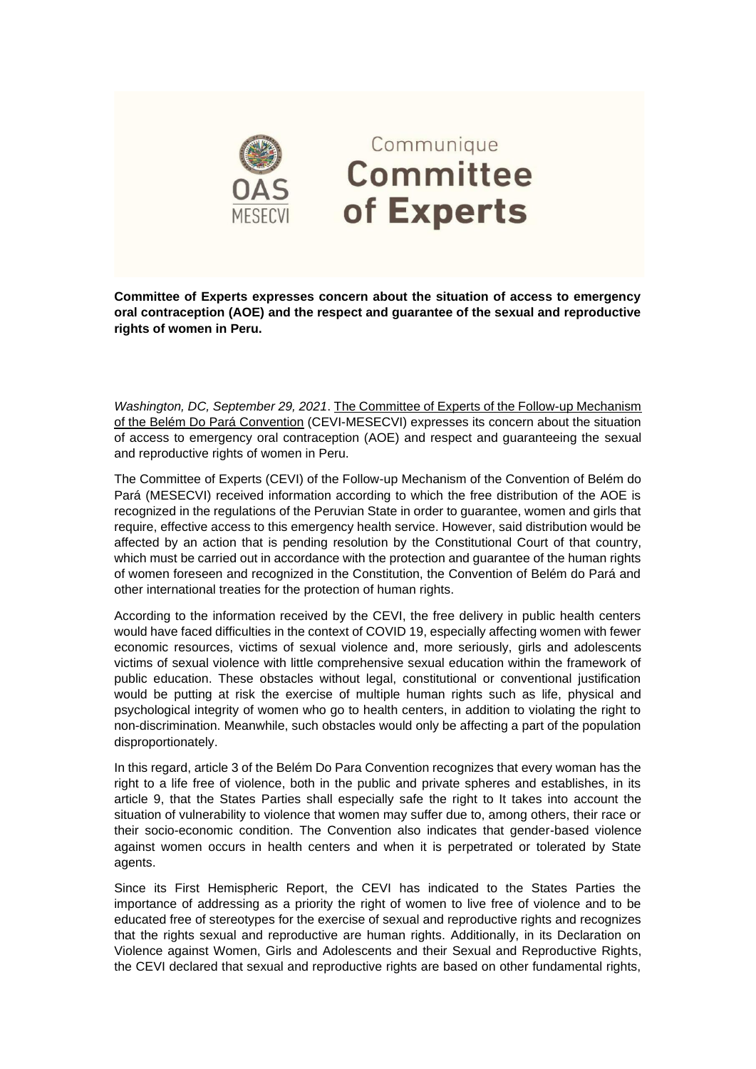

**Committee of Experts expresses concern about the situation of access to emergency oral contraception (AOE) and the respect and guarantee of the sexual and reproductive rights of women in Peru.**

*Washington, DC, September 29, 2021*. The Committee of Experts of the Follow-up Mechanism of the Belém Do Pará Convention (CEVI-MESECVI) expresses its concern about the situation of access to emergency oral contraception (AOE) and respect and guaranteeing the sexual and reproductive rights of women in Peru.

The Committee of Experts (CEVI) of the Follow-up Mechanism of the Convention of Belém do Pará (MESECVI) received information according to which the free distribution of the AOE is recognized in the regulations of the Peruvian State in order to guarantee, women and girls that require, effective access to this emergency health service. However, said distribution would be affected by an action that is pending resolution by the Constitutional Court of that country, which must be carried out in accordance with the protection and guarantee of the human rights of women foreseen and recognized in the Constitution, the Convention of Belém do Pará and other international treaties for the protection of human rights.

According to the information received by the CEVI, the free delivery in public health centers would have faced difficulties in the context of COVID 19, especially affecting women with fewer economic resources, victims of sexual violence and, more seriously, girls and adolescents victims of sexual violence with little comprehensive sexual education within the framework of public education. These obstacles without legal, constitutional or conventional justification would be putting at risk the exercise of multiple human rights such as life, physical and psychological integrity of women who go to health centers, in addition to violating the right to non-discrimination. Meanwhile, such obstacles would only be affecting a part of the population disproportionately.

In this regard, article 3 of the Belém Do Para Convention recognizes that every woman has the right to a life free of violence, both in the public and private spheres and establishes, in its article 9, that the States Parties shall especially safe the right to It takes into account the situation of vulnerability to violence that women may suffer due to, among others, their race or their socio-economic condition. The Convention also indicates that gender-based violence against women occurs in health centers and when it is perpetrated or tolerated by State agents.

Since its First Hemispheric Report, the CEVI has indicated to the States Parties the importance of addressing as a priority the right of women to live free of violence and to be educated free of stereotypes for the exercise of sexual and reproductive rights and recognizes that the rights sexual and reproductive are human rights. Additionally, in its Declaration on Violence against Women, Girls and Adolescents and their Sexual and Reproductive Rights, the CEVI declared that sexual and reproductive rights are based on other fundamental rights,